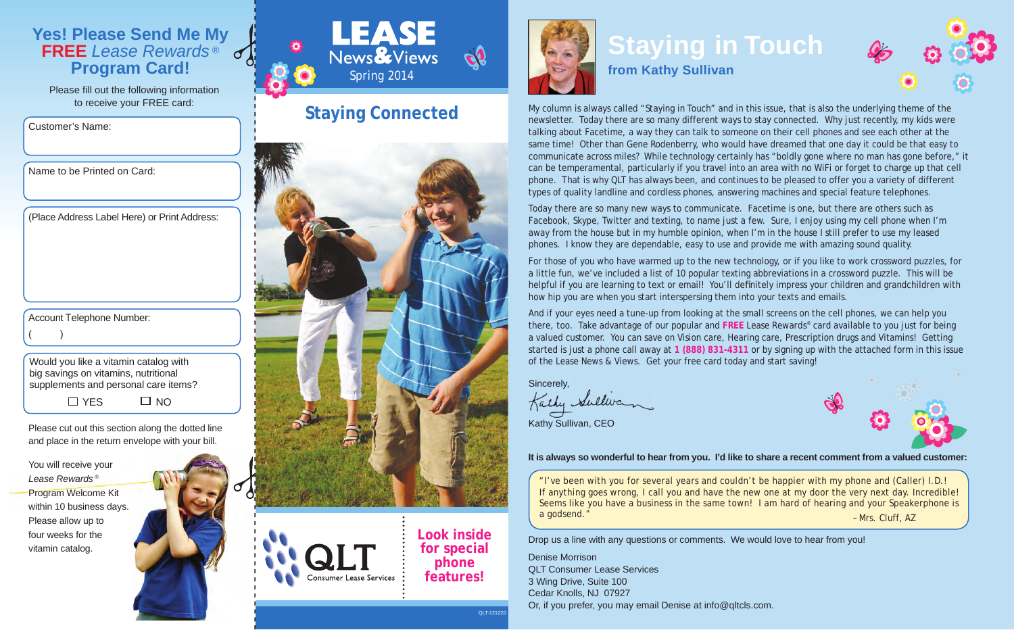### **Yes! Please Send Me My FREE** *Lease Rewards ®*  $\sigma$ **Program Card!**

Please fill out the following information to receive your FREE card:

Customer's Name:

Name to be Printed on Card:

(Place Address Label Here) or Print Address:

Account Telephone Number:

 $($  )

Would you like a vitamin catalog with big savings on vitamins, nutritional supplements and personal care items?  $\Box$  YES  $\Box$  NO

Please cut out this section along the dotted line and place in the return envelope with your bill.

You will receive your *Lease Rewards* ® Program Welcome Kit within 10 business days. Please allow up to four weeks for the vitamin catalog.





### **Staying Connected**



**Consumer Lease Services** 

**phone features!**

QLT-121220



### **Staying in Touch from Kathy Sullivan**

My column is always called "Staying in Touch" and in this issue, that is also the underlying theme of the newsletter. Today there are so many different ways to stay connected. Why just recently, my kids were talking about Facetime, a way they can talk to someone on their cell phones and see each other at the same time! Other than Gene Rodenberry, who would have dreamed that one day it could be that easy to communicate across miles? While technology certainly has "boldly gone where no man has gone before," it can be temperamental, particularly if you travel into an area with no WiFi or forget to charge up that cell phone. That is why QLT has always been, and continues to be pleased to offer you a variety of different types of quality landline and cordless phones, answering machines and special feature telephones.

Today there are so many new ways to communicate. Facetime is one, but there are others such as Facebook, Skype, Twitter and texting, to name just a few. Sure, I enjoy using my cell phone when I'm away from the house but in my humble opinion, when I'm in the house I still prefer to use my leased phones. I know they are dependable, easy to use and provide me with amazing sound quality.

For those of you who have warmed up to the new technology, or if you like to work crossword puzzles, for a little fun, we've included a list of 10 popular texting abbreviations in a crossword puzzle. This will be helpful if you are learning to text or email! You'll definitely impress your children and grandchildren with how hip you are when you start interspersing them into your texts and emails.

And if your eyes need a tune-up from looking at the small screens on the cell phones, we can help you there, too. Take advantage of our popular and **FREE** *Lease Rewards*® card available to you just for being a valued customer. You can save on Vision care, Hearing care, Prescription drugs and Vitamins! Getting started is just a phone call away at **1 (888) 831-4311** or by signing up with the attached form in this issue of the *Lease News & Views*. Get your free card today and start saving!

Sincerely,

Kathy Sulliva Kathy Sullivan, CEO



**It is always so wonderful to hear from you. I'd like to share a recent comment from a valued customer:**

– Mrs. Cluff, AZ "I've been with you for several years and couldn't be happier with my phone and (Caller) I.D.! If anything goes wrong, I call you and have the new one at my door the very next day. Incredible! Seems like you have a business in the same town! I am hard of hearing and your Speakerphone is a godsend."

Drop us a line with any questions or comments. We would love to hear from you!

Denise Morrison QLT Consumer Lease Services 3 Wing Drive, Suite 100 Cedar Knolls, NJ 07927 Or, if you prefer, you may email Denise at info@qltcls.com.